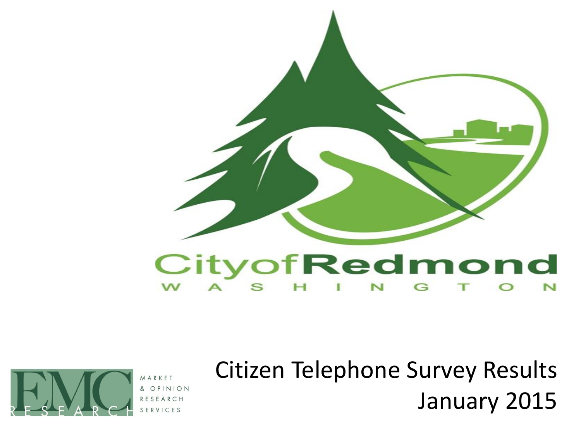



ARKE OPINI SERVICES Citizen Telephone Survey Results January 2015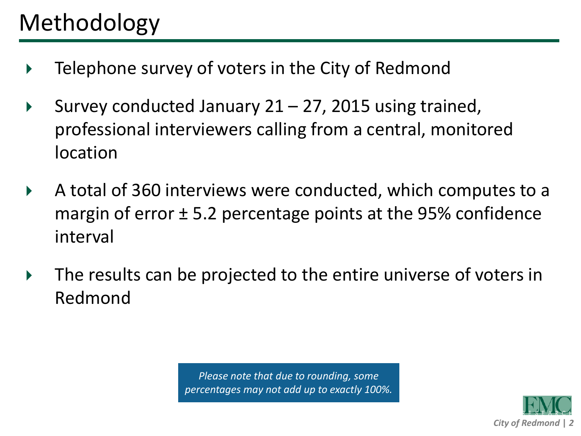- **EXTE** Telephone survey of voters in the City of Redmond
- Survey conducted January  $21 27$ , 2015 using trained, professional interviewers calling from a central, monitored location
- A total of 360 interviews were conducted, which computes to a margin of error  $\pm$  5.2 percentage points at the 95% confidence interval
- The results can be projected to the entire universe of voters in Redmond

*Please note that due to rounding, some percentages may not add up to exactly 100%.*

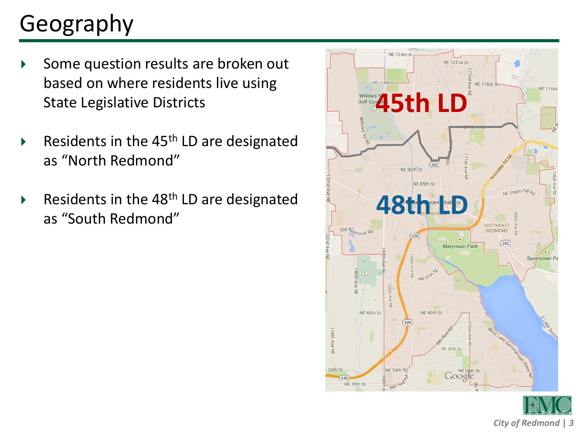# Geography

- Some question results are broken out based on where residents live using State Legislative Districts
- Residents in the 45<sup>th</sup> LD are designated as "North Redmond"
- Residents in the 48<sup>th</sup> LD are designated as "South Redmond"

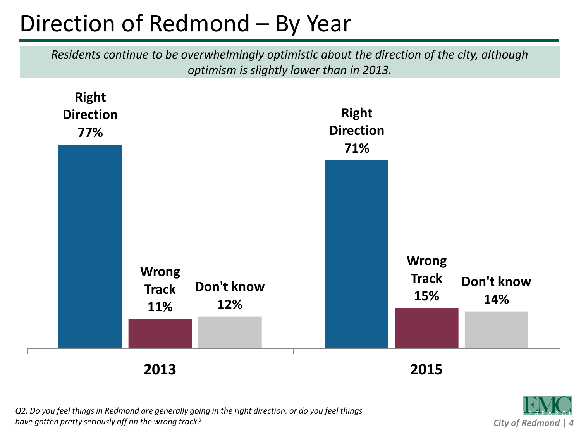## Direction of Redmond – By Year

*Residents continue to be overwhelmingly optimistic about the direction of the city, although optimism is slightly lower than in 2013.*



*City of Redmond* **|** *4*

*Q2. Do you feel things in Redmond are generally going in the right direction, or do you feel things have gotten pretty seriously off on the wrong track?*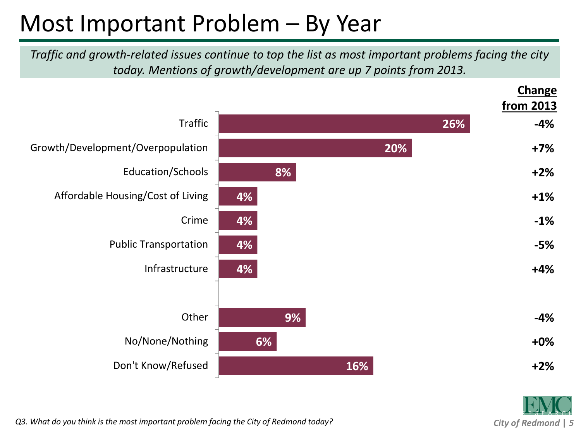#### Most Important Problem – By Year

*Traffic and growth-related issues continue to top the list as most important problems facing the city today. Mentions of growth/development are up 7 points from 2013.*





*Q3. What do you think is the most important problem facing the City of Redmond today?*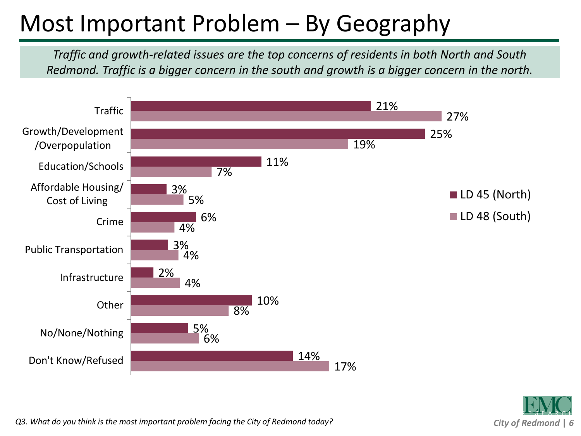#### Most Important Problem – By Geography

*Traffic and growth-related issues are the top concerns of residents in both North and South Redmond. Traffic is a bigger concern in the south and growth is a bigger concern in the north.*





*Q3. What do you think is the most important problem facing the City of Redmond today?*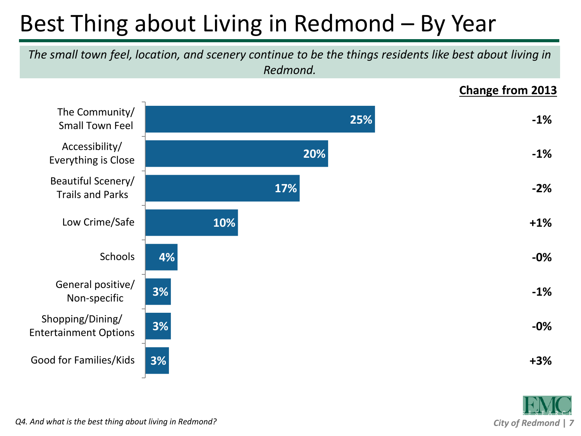# Best Thing about Living in Redmond – By Year

*The small town feel, location, and scenery continue to be the things residents like best about living in Redmond.*

**Change from 2013**



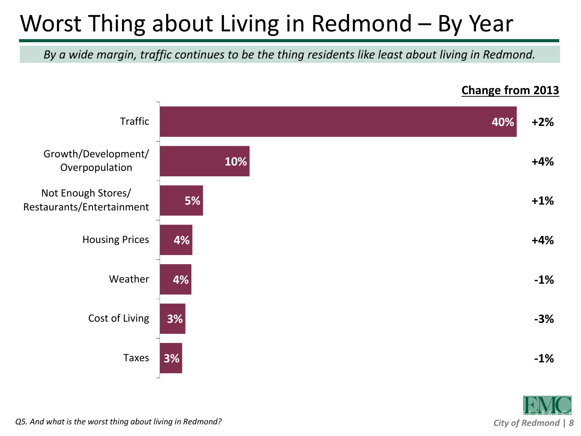## Worst Thing about Living in Redmond – By Year

*By a wide margin, traffic continues to be the thing residents like least about living in Redmond.*



#### **Change from 2013**

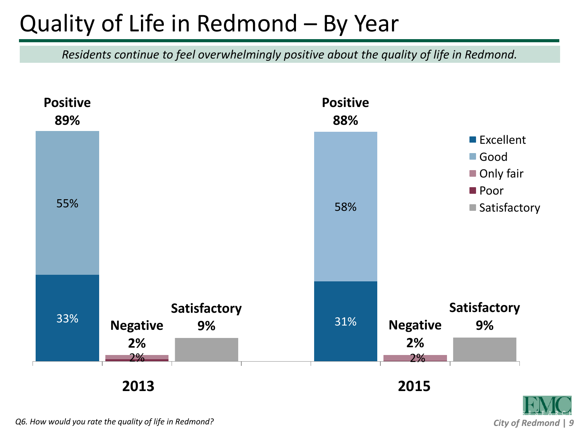#### Quality of Life in Redmond – By Year

*Residents continue to feel overwhelmingly positive about the quality of life in Redmond.*



*City of Redmond* **|** *9*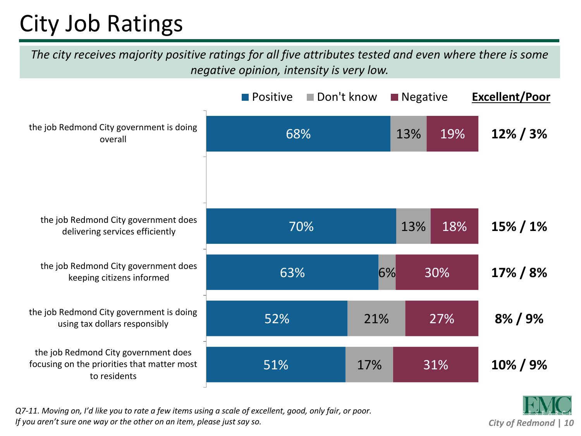# City Job Ratings

*The city receives majority positive ratings for all five attributes tested and even where there is some negative opinion, intensity is very low.*



*Q7-11. Moving on, I'd like you to rate a few items using a scale of excellent, good, only fair, or poor. If you aren't sure one way or the other on an item, please just say so.*

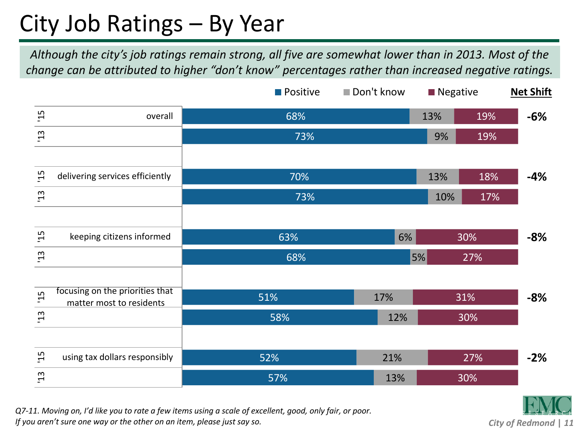#### City Job Ratings – By Year

*Although the city's job ratings remain strong, all five are somewhat lower than in 2013. Most of the change can be attributed to higher "don't know" percentages rather than increased negative ratings.* 



*Q7-11. Moving on, I'd like you to rate a few items using a scale of excellent, good, only fair, or poor. If you aren't sure one way or the other on an item, please just say so.*

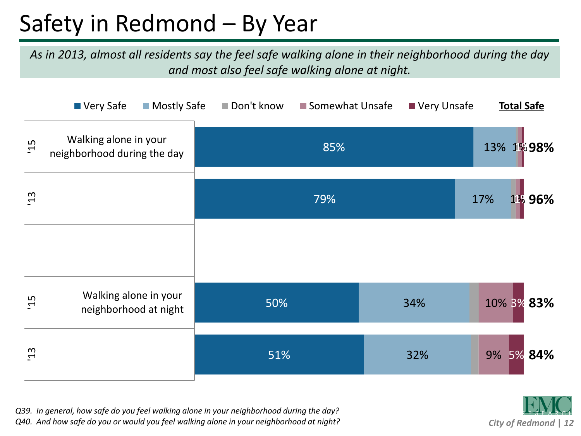#### Safety in Redmond – By Year

*As in 2013, almost all residents say the feel safe walking alone in their neighborhood during the day and most also feel safe walking alone at night.*

|                 | ■ Very Safe<br><b>Mostly Safe</b>                    | Don't know | Somewhat Unsafe | Very Unsafe | <b>Total Safe</b> |
|-----------------|------------------------------------------------------|------------|-----------------|-------------|-------------------|
| $\overline{5}$  | Walking alone in your<br>neighborhood during the day |            | 85%             |             | 13% 1%98%         |
| $\overline{13}$ |                                                      |            | 79%             |             | 11% 96%<br>17%    |
|                 |                                                      |            |                 |             |                   |
| 15              | Walking alone in your<br>neighborhood at night       | 50%        |                 | 34%         | 10% 3% 83%        |
| $\overline{13}$ |                                                      | 51%        |                 | 32%         | 9% 5% 84%         |



*Q39. In general, how safe do you feel walking alone in your neighborhood during the day? Q40. And how safe do you or would you feel walking alone in your neighborhood at night?*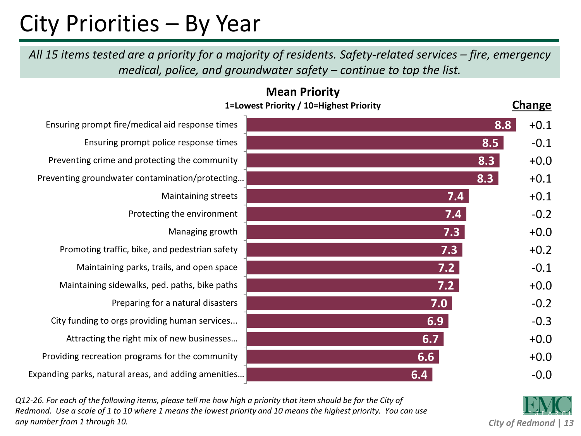#### City Priorities – By Year

All 15 items tested are a priority for a majority of residents. Safety-related services – fire, emergency *medical, police, and groundwater safety – continue to top the list.*

**Mean Priority**

|                                                      | <b>IVICAIL FIIUIILY</b><br>1=Lowest Priority / 10=Highest Priority | <b>Change</b> |
|------------------------------------------------------|--------------------------------------------------------------------|---------------|
| Ensuring prompt fire/medical aid response times      |                                                                    | 8.8<br>$+0.1$ |
| Ensuring prompt police response times                |                                                                    | 8.5<br>$-0.1$ |
| Preventing crime and protecting the community        |                                                                    | 8.3<br>$+0.0$ |
| Preventing groundwater contamination/protecting      |                                                                    | 8.3<br>$+0.1$ |
| Maintaining streets                                  | 7.4                                                                | $+0.1$        |
| Protecting the environment                           | 7.4                                                                | $-0.2$        |
| Managing growth                                      | 7.3                                                                | $+0.0$        |
| Promoting traffic, bike, and pedestrian safety       | 7.3                                                                | $+0.2$        |
| Maintaining parks, trails, and open space            | 7.2                                                                | $-0.1$        |
| Maintaining sidewalks, ped. paths, bike paths        | 7.2                                                                | $+0.0$        |
| Preparing for a natural disasters                    | 7.0                                                                | $-0.2$        |
| City funding to orgs providing human services        | 6.9                                                                | $-0.3$        |
| Attracting the right mix of new businesses           | 6.7                                                                | $+0.0$        |
| Providing recreation programs for the community      | 6.6                                                                | $+0.0$        |
| Expanding parks, natural areas, and adding amenities | 6.4                                                                | $-0.0$        |

*Q12-26. For each of the following items, please tell me how high a priority that item should be for the City of Redmond. Use a scale of 1 to 10 where 1 means the lowest priority and 10 means the highest priority. You can use any number from 1 through 10.*

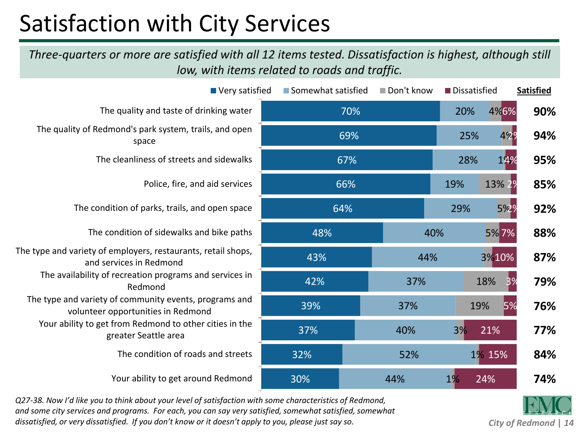## Satisfaction with City Services

*Three-quarters or more are satisfied with all 12 items tested. Dissatisfaction is highest, although still low, with items related to roads and traffic.*

| ■ Very satisfied                                                                             | ■ Somewhat satisfied | Don't know | Dissatisfied |                       | <b>Satisfied</b> |
|----------------------------------------------------------------------------------------------|----------------------|------------|--------------|-----------------------|------------------|
| The quality and taste of drinking water                                                      | 70%                  |            | 20%          | 4%6%                  | 90%              |
| The quality of Redmond's park system, trails, and open<br>space                              | 69%                  |            | 25%          | 422                   | 94%              |
| The cleanliness of streets and sidewalks                                                     | 67%                  |            | 28%          | 14%                   | 95%              |
| Police, fire, and aid services                                                               | 66%                  |            | 19%          | 13% 29                | 85%              |
| The condition of parks, trails, and open space                                               | 64%                  |            | 29%          | 5%29                  | 92%              |
| The condition of sidewalks and bike paths                                                    | 48%                  |            | 40%          | 5%7%                  | 88%              |
| The type and variety of employers, restaurants, retail shops,<br>and services in Redmond     | 43%                  |            | 44%          | 3%10%                 | 87%              |
| The availability of recreation programs and services in<br>Redmond                           | 42%                  | 37%        |              | 18%<br>3 <sup>9</sup> | 79%              |
| The type and variety of community events, programs and<br>volunteer opportunities in Redmond | 39%                  | 37%        |              | 19%<br>5%             | 76%              |
| Your ability to get from Redmond to other cities in the<br>greater Seattle area              | 37%                  | 40%        | 3%           | 21%                   | 77%              |
| The condition of roads and streets                                                           | 32%                  | 52%        |              | 1% 15%                | 84%              |
| Your ability to get around Redmond                                                           | 30%                  | 44%        | 1%           | 24%                   | 74%              |

*Q27-38. Now I'd like you to think about your level of satisfaction with some characteristics of Redmond, and some city services and programs. For each, you can say very satisfied, somewhat satisfied, somewhat dissatisfied, or very dissatisfied. If you don't know or it doesn't apply to you, please just say so.*

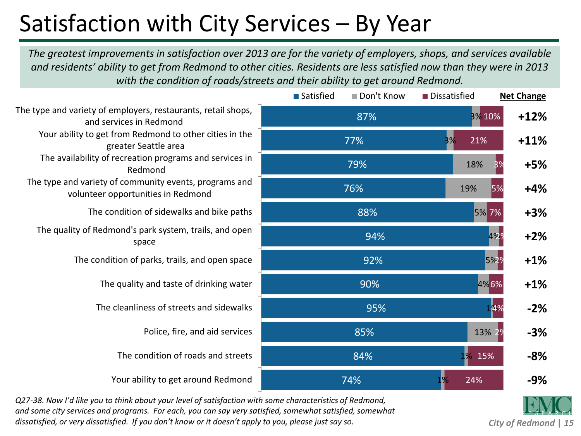## Satisfaction with City Services – By Year

*The greatest improvements in satisfaction over 2013 are for the variety of employers, shops, and services available and residents' ability to get from Redmond to other cities. Residents are less satisfied now than they were in 2013 with the condition of roads/streets and their ability to get around Redmond.*

|                                                                                              | <b>■</b> Satisfied<br>Don't Know | Dissatisfied         | <b>Net Change</b> |
|----------------------------------------------------------------------------------------------|----------------------------------|----------------------|-------------------|
| The type and variety of employers, restaurants, retail shops,<br>and services in Redmond     | 87%                              | 3% 10%               | $+12%$            |
| Your ability to get from Redmond to other cities in the<br>greater Seattle area              | 77%                              | 21%<br>3%            | $+11%$            |
| The availability of recreation programs and services in<br>Redmond                           | 79%                              | 18%<br>3%            | $+5%$             |
| The type and variety of community events, programs and<br>volunteer opportunities in Redmond | 76%                              | 19%<br>5%            | $+4%$             |
| The condition of sidewalks and bike paths                                                    | 88%                              | 5% 7%                | $+3%$             |
| The quality of Redmond's park system, trails, and open<br>space                              | 94%                              | 4229                 | $+2%$             |
| The condition of parks, trails, and open space                                               | 92%                              | 5%2%                 | $+1%$             |
| The quality and taste of drinking water                                                      | 90%                              | 4%6%                 | $+1%$             |
| The cleanliness of streets and sidewalks                                                     | 95%                              | 14%                  | $-2%$             |
| Police, fire, and aid services                                                               | 85%                              | 13% 29               | $-3%$             |
| The condition of roads and streets                                                           | 84%                              | 1 <mark>%</mark> 15% | $-8%$             |
| Your ability to get around Redmond                                                           | 74%                              | 24%                  | $-9%$             |
|                                                                                              |                                  |                      |                   |

*Q27-38. Now I'd like you to think about your level of satisfaction with some characteristics of Redmond, and some city services and programs. For each, you can say very satisfied, somewhat satisfied, somewhat dissatisfied, or very dissatisfied. If you don't know or it doesn't apply to you, please just say so.*

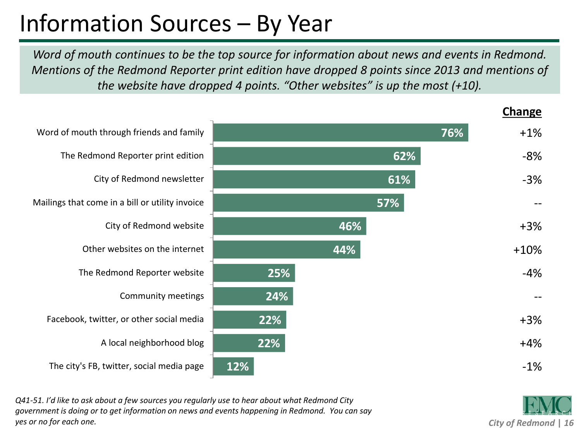# Information Sources – By Year

*Word of mouth continues to be the top source for information about news and events in Redmond. Mentions of the Redmond Reporter print edition have dropped 8 points since 2013 and mentions of the website have dropped 4 points. "Other websites" is up the most (+10).*



*Q41-51. I'd like to ask about a few sources you regularly use to hear about what Redmond City government is doing or to get information on news and events happening in Redmond. You can say yes or no for each one.*

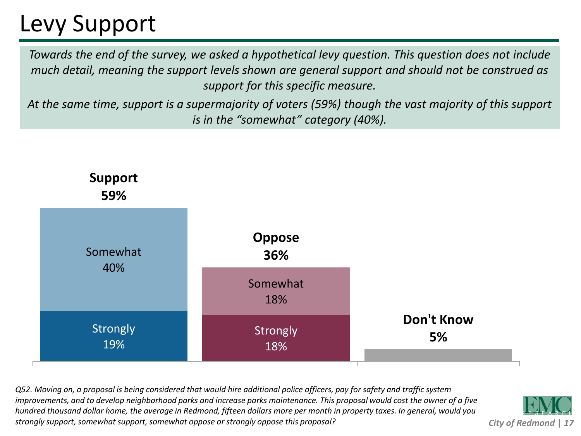## Levy Support

*Towards the end of the survey, we asked a hypothetical levy question. This question does not include much detail, meaning the support levels shown are general support and should not be construed as support for this specific measure.*

*At the same time, support is a supermajority of voters (59%) though the vast majority of this support is in the "somewhat" category (40%).*



*Q52. Moving on, a proposal is being considered that would hire additional police officers, pay for safety and traffic system improvements, and to develop neighborhood parks and increase parks maintenance. This proposal would cost the owner of a five hundred thousand dollar home, the average in Redmond, fifteen dollars more per month in property taxes. In general, would you strongly support, somewhat support, somewhat oppose or strongly oppose this proposal?*